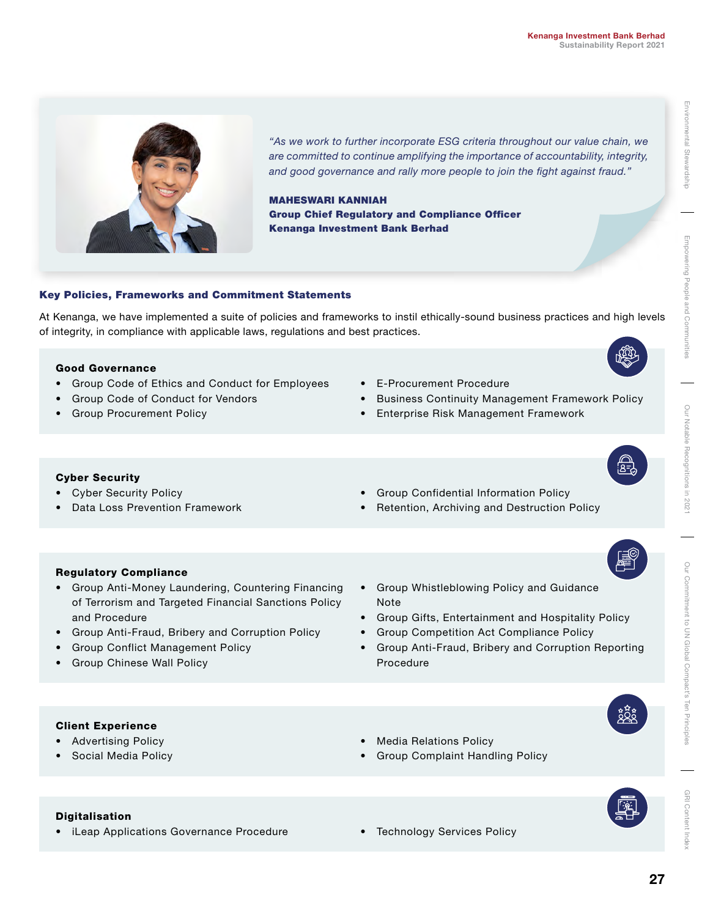

*"As we work to further incorporate ESG criteria throughout our value chain, we are committed to continue amplifying the importance of accountability, integrity, and good governance and rally more people to join the fight against fraud."*

MAHESWARI KANNIAH Group Chief Regulatory and Compliance Officer Kenanga Investment Bank Berhad

# Environmental Stewardship Environmental Stewardship

Empowering People Empowering People and Communities and Cc

GRI Content Index

GRI Content

# Key Policies, Frameworks and Commitment Statements

At Kenanga, we have implemented a suite of policies and frameworks to instil ethically-sound business practices and high levels of integrity, in compliance with applicable laws, regulations and best practices.

# Good Governance

- Group Code of Ethics and Conduct for Employees
- Group Code of Conduct for Vendors
- Group Procurement Policy
- E-Procurement Procedure
- Business Continuity Management Framework Policy
- Enterprise Risk Management Framework

# Cyber Security

- Cyber Security Policy
- Data Loss Prevention Framework
- Group Confidential Information Policy
- Retention, Archiving and Destruction Policy

# Regulatory Compliance

- Group Anti-Money Laundering, Countering Financing of Terrorism and Targeted Financial Sanctions Policy and Procedure
- Group Anti-Fraud, Bribery and Corruption Policy
- Group Conflict Management Policy
- Group Chinese Wall Policy
- Group Whistleblowing Policy and Guidance Note
- Group Gifts, Entertainment and Hospitality Policy
- Group Competition Act Compliance Policy
- Group Anti-Fraud, Bribery and Corruption Reporting Procedure

# Client Experience

- Advertising Policy
- Social Media Policy
- Media Relations Policy
- Group Complaint Handling Policy



- iLeap Applications Governance Procedure Technology Services Policy
-